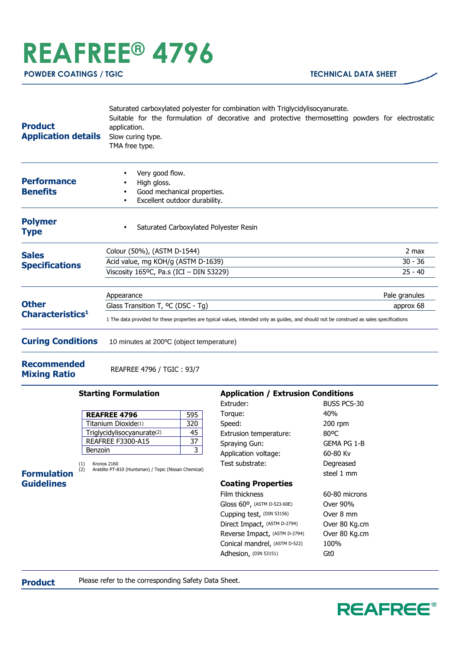## **REAFREE® 4796**

| <b>Product</b><br><b>Application details</b> | Saturated carboxylated polyester for combination with Triglycidylisocyanurate.<br>Suitable for the formulation of decorative and protective thermosetting powders for electrostatic<br>application.<br>Slow curing type.<br>TMA free type. |               |
|----------------------------------------------|--------------------------------------------------------------------------------------------------------------------------------------------------------------------------------------------------------------------------------------------|---------------|
| <b>Performance</b><br><b>Benefits</b>        | Very good flow.<br>٠<br>High gloss.<br>Good mechanical properties.<br>Excellent outdoor durability.                                                                                                                                        |               |
| <b>Polymer</b><br>Type                       | Saturated Carboxylated Polyester Resin<br>$\bullet$                                                                                                                                                                                        |               |
| <b>Sales</b><br><b>Specifications</b>        | Colour (50%), (ASTM D-1544)                                                                                                                                                                                                                | 2 max         |
|                                              | Acid value, mg KOH/g (ASTM D-1639)                                                                                                                                                                                                         | $30 - 36$     |
|                                              | Viscosity 165°C, Pa.s (ICI - DIN 53229)                                                                                                                                                                                                    | $25 - 40$     |
| <b>Other</b><br>Characteristics <sup>1</sup> | Appearance                                                                                                                                                                                                                                 | Pale granules |
|                                              | Glass Transition T, <sup>o</sup> C (DSC - Tg)                                                                                                                                                                                              | approx 68     |
|                                              | 1 The data provided for these properties are typical values, intended only as guides, and should not be construed as sales specifications                                                                                                  |               |
| <b>Curing Conditions</b>                     | 10 minutes at 200°C (object temperature)                                                                                                                                                                                                   |               |

**Recommended Mixing Ratio** REAFREE 4796 / TGIC : 93/7

## **Starting Formulation**

| <b>REAFREE 4796</b>        | 595 |
|----------------------------|-----|
| Titanium Dioxide(1)        | 320 |
| Triglycidylisocyanurate(2) | 45  |
| <b>REAFREE F3300-A15</b>   | 37  |
| Benzoin                    |     |

**Formulation Guidelines**

(1) Kronos 2160 (2) Araldite PT-810 (Huntsman) / Tepic (Nissan Chemical)

## **Application / Extrusion Conditions**

| Extruder:                     | <b>BUSS PCS-30</b> |
|-------------------------------|--------------------|
| Torque:                       | 40%                |
| Speed:                        | 200 rpm            |
| Extrusion temperature:        | 80°C               |
| Spraying Gun:                 | GEMA PG 1-B        |
| Application voltage:          | 60-80 Kv           |
| Test substrate:               | Degreased          |
|                               | steel 1 mm         |
| <b>Coating Properties</b>     |                    |
| Film thickness                | 60-80 microns      |
| Gloss 60°, (ASTM D-523-60E)   | Over 90%           |
| Cupping test, (DIN 53156)     | Over 8 mm          |
| Direct Impact, (ASTM D-2794)  | Over 80 Kg.cm      |
| Reverse Impact, (ASTM D-2794) | Over 80 Kg.cm      |
| Conical mandrel, (ASTM D-522) | 100%               |
| Adhesion, (DIN 53151)         | Gt0                |

**Product** Please refer to the corresponding Safety Data Sheet.